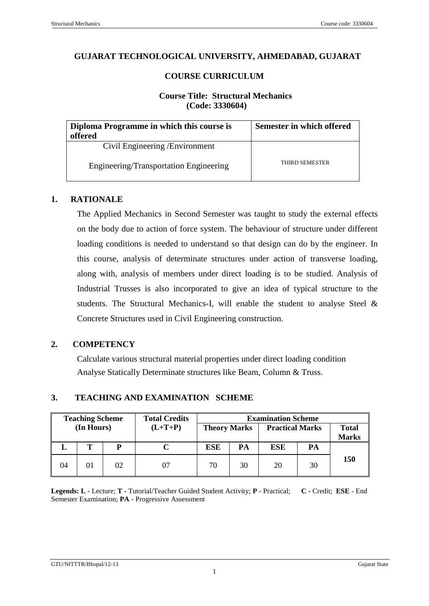#### **GUJARAT TECHNOLOGICAL UNIVERSITY, AHMEDABAD, GUJARAT**

### **COURSE CURRICULUM**

## **Course Title: Structural Mechanics (Code: 3330604)**

| Diploma Programme in which this course is<br>offered | Semester in which offered |
|------------------------------------------------------|---------------------------|
| Civil Engineering / Environment                      |                           |
| Engineering/Transportation Engineering               | <b>THIRD SEMESTER</b>     |

#### **1. RATIONALE**

The Applied Mechanics in Second Semester was taught to study the external effects on the body due to action of force system. The behaviour of structure under different loading conditions is needed to understand so that design can do by the engineer. In this course, analysis of determinate structures under action of transverse loading, along with, analysis of members under direct loading is to be studied. Analysis of Industrial Trusses is also incorporated to give an idea of typical structure to the students. The Structural Mechanics-I, will enable the student to analyse Steel & Concrete Structures used in Civil Engineering construction.

#### **2. COMPETENCY**

Calculate various structural material properties under direct loading condition Analyse Statically Determinate structures like Beam, Column & Truss.

#### **3. TEACHING AND EXAMINATION SCHEME**

|              | <b>Examination Scheme</b> |                                               |    | <b>Total Credits</b> |  | <b>Teaching Scheme</b> |    |    |
|--------------|---------------------------|-----------------------------------------------|----|----------------------|--|------------------------|----|----|
| <b>Total</b> |                           | <b>Practical Marks</b><br><b>Theory Marks</b> |    | $(L+T+P)$            |  | (In Hours)             |    |    |
| <b>Marks</b> |                           |                                               |    |                      |  |                        |    |    |
|              | PA                        | ESE                                           | PA | <b>ESE</b>           |  | p                      |    |    |
| 150          | 30                        | 20                                            | 30 | 70                   |  | 02                     | 01 | 04 |

**Legends: L -** Lecture; **T -** Tutorial/Teacher Guided Student Activity; **P -** Practical; **C -** Credit; **ESE** - End Semester Examination; **PA** - Progressive Assessment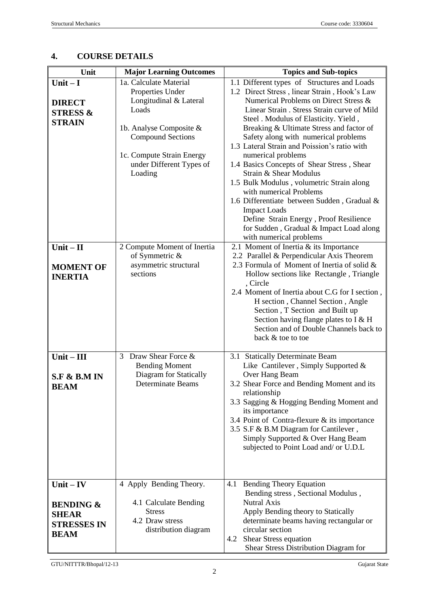#### Unit Major Learning Outcomes Topics and Sub-topics **Unit – I DIRECT STRESS & STRAIN** 1a. Calculate Material Properties Under Longitudinal & Lateral Loads 1b. Analyse Composite & Compound Sections 1c. Compute Strain Energy under Different Types of Loading 1.1 Different types of Structures and Loads 1.2 Direct Stress , linear Strain , Hook's Law Numerical Problems on Direct Stress & Linear Strain . Stress Strain curve of Mild Steel . Modulus of Elasticity. Yield , Breaking & Ultimate Stress and factor of Safety along with numerical problems 1.3 Lateral Strain and Poission's ratio with numerical problems 1.4 Basics Concepts of Shear Stress , Shear Strain & Shear Modulus 1.5 Bulk Modulus , volumetric Strain along with numerical Problems 1.6 Differentiate between Sudden , Gradual & Impact Loads Define Strain Energy , Proof Resilience for Sudden , Gradual & Impact Load along with numerical problems **Unit – II MOMENT OF INERTIA** 2 Compute Moment of Inertia of Symmetric & asymmetric structural sections 2.1 Moment of Inertia & its Importance 2.2 Parallel & Perpendicular Axis Theorem 2.3 Formula of Moment of Inertia of solid & Hollow sections like Rectangle , Triangle , Circle 2.4 Moment of Inertia about C.G for I section , H section , Channel Section , Angle Section , T Section and Built up Section having flange plates to  $\overline{I} \& H$ Section and of Double Channels back to back & toe to toe **Unit – III S.F & B.M IN BEAM** 3 Draw Shear Force & Bending Moment Diagram for Statically Determinate Beams 3.1 Statically Determinate Beam Like Cantilever , Simply Supported & Over Hang Beam 3.2 Shear Force and Bending Moment and its relationship 3.3 Sagging & Hogging Bending Moment and its importance 3.4 Point of Contra-flexure & its importance 3.5 S.F & B.M Diagram for Cantilever , Simply Supported & Over Hang Beam subjected to Point Load and/ or U.D.L **Unit – IV BENDING & SHEAR STRESSES IN BEAM** 4 Apply Bending Theory. 4.1 Calculate Bending **Stress** 4.2 Draw stress distribution diagram 4.1 Bending Theory Equation Bending stress , Sectional Modulus , Nutral Axis Apply Bending theory to Statically determinate beams having rectangular or circular section 4.2 Shear Stress equation Shear Stress Distribution Diagram for

## **4. COURSE DETAILS**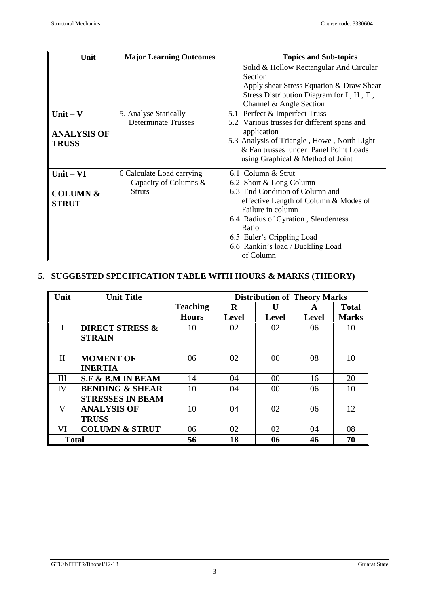| Unit                                               | <b>Major Learning Outcomes</b>                                      | <b>Topics and Sub-topics</b>                                                                                                                                                                                                                                                   |  |
|----------------------------------------------------|---------------------------------------------------------------------|--------------------------------------------------------------------------------------------------------------------------------------------------------------------------------------------------------------------------------------------------------------------------------|--|
|                                                    |                                                                     | Solid & Hollow Rectangular And Circular<br>Section<br>Apply shear Stress Equation & Draw Shear<br>Stress Distribution Diagram for I, H, T,<br>Channel & Angle Section                                                                                                          |  |
| Unit $-$ V<br><b>ANALYSIS OF</b><br><b>TRUSS</b>   | 5. Analyse Statically<br><b>Determinate Trusses</b>                 | 5.1 Perfect & Imperfect Truss<br>5.2 Various trusses for different spans and<br>application<br>5.3 Analysis of Triangle, Howe, North Light<br>& Fan trusses under Panel Point Loads<br>using Graphical & Method of Joint                                                       |  |
| $Unit - VI$<br><b>COLUMN &amp;</b><br><b>STRUT</b> | 6 Calculate Load carrying<br>Capacity of Columns &<br><b>Struts</b> | 6.1 Column & Strut<br>6.2 Short & Long Column<br>6.3 End Condition of Column and<br>effective Length of Column & Modes of<br>Failure in column<br>6.4 Radius of Gyration, Slenderness<br>Ratio<br>6.5 Euler's Crippling Load<br>6.6 Rankin's load / Buckling Load<br>of Column |  |

# **5. SUGGESTED SPECIFICATION TABLE WITH HOURS & MARKS (THEORY)**

| Unit         | <b>Unit Title</b>            |                 | <b>Distribution of Theory Marks</b> |                |              |              |
|--------------|------------------------------|-----------------|-------------------------------------|----------------|--------------|--------------|
|              |                              | <b>Teaching</b> | R                                   |                | A            | <b>Total</b> |
|              |                              | <b>Hours</b>    | <b>Level</b>                        | <b>Level</b>   | <b>Level</b> | <b>Marks</b> |
| I            | <b>DIRECT STRESS &amp;</b>   | 10              | 02                                  | 02             | 06           | 10           |
|              | <b>STRAIN</b>                |                 |                                     |                |              |              |
|              |                              |                 |                                     |                |              |              |
| $_{\rm II}$  | <b>MOMENT OF</b>             | 06              | 02                                  | 0 <sup>0</sup> | 08           | 10           |
|              | <b>INERTIA</b>               |                 |                                     |                |              |              |
| III          | <b>S.F &amp; B.M IN BEAM</b> | 14              | 04                                  | 0 <sup>0</sup> | 16           | 20           |
| IV           | <b>BENDING &amp; SHEAR</b>   | 10              | 04                                  | 00             | 06           | 10           |
|              | <b>STRESSES IN BEAM</b>      |                 |                                     |                |              |              |
| V            | <b>ANALYSIS OF</b>           | 10              | 04                                  | 02             | 06           | 12           |
|              | <b>TRUSS</b>                 |                 |                                     |                |              |              |
| VI           | <b>COLUMN &amp; STRUT</b>    | 06              | 02                                  | 02             | 04           | 08           |
| <b>Total</b> |                              | 56              | 18                                  | 06             | 46           | 70           |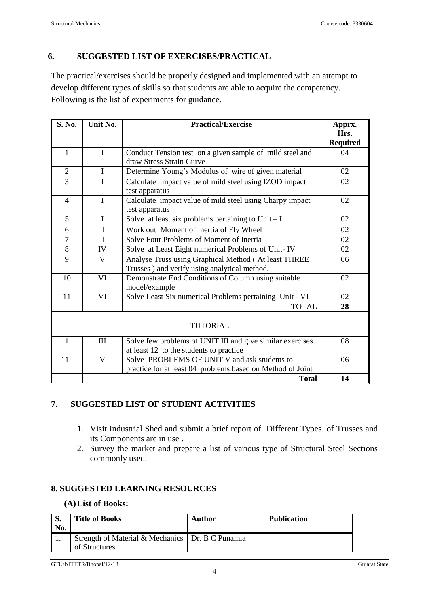## **6. SUGGESTED LIST OF EXERCISES/PRACTICAL**

The practical/exercises should be properly designed and implemented with an attempt to develop different types of skills so that students are able to acquire the competency. Following is the list of experiments for guidance.

| S. No.          | Unit No.     | <b>Practical/Exercise</b>                                                            | Apprx.          |  |
|-----------------|--------------|--------------------------------------------------------------------------------------|-----------------|--|
|                 |              |                                                                                      | Hrs.            |  |
|                 |              |                                                                                      | <b>Required</b> |  |
| 1               | L            | Conduct Tension test on a given sample of mild steel and<br>draw Stress Strain Curve | 04              |  |
| $\overline{2}$  | $\mathbf{I}$ | Determine Young's Modulus of wire of given material                                  | 02              |  |
| 3               | $\mathbf{I}$ | Calculate impact value of mild steel using IZOD impact                               | 02              |  |
|                 |              | test apparatus                                                                       |                 |  |
| $\overline{4}$  | $\mathbf I$  | Calculate impact value of mild steel using Charpy impact<br>test apparatus           | 02              |  |
| 5               | I            | Solve at least six problems pertaining to $\overline{\text{Unit} - \text{I}}$        | 02              |  |
| 6               | $\rm{II}$    | Work out Moment of Inertia of Fly Wheel                                              | 02              |  |
| $\overline{7}$  | $\mathbf{I}$ | Solve Four Problems of Moment of Inertia                                             | 02              |  |
| 8               | IV           | Solve at Least Eight numerical Problems of Unit-IV                                   |                 |  |
| 9               | $\mathbf{V}$ | Analyse Truss using Graphical Method (At least THREE                                 |                 |  |
|                 |              | Trusses) and verify using analytical method.                                         |                 |  |
| 10              | VI           | Demonstrate End Conditions of Column using suitable<br>02<br>model/example           |                 |  |
| 11              | VI           | Solve Least Six numerical Problems pertaining Unit - VI                              |                 |  |
|                 |              | <b>TOTAL</b>                                                                         | 28              |  |
| <b>TUTORIAL</b> |              |                                                                                      |                 |  |
| $\mathbf{1}$    | III          | Solve few problems of UNIT III and give similar exercises                            | 08              |  |
|                 |              | at least 12 to the students to practice                                              |                 |  |
| 11              | $\mathbf{V}$ | Solve PROBLEMS OF UNIT V and ask students to<br>06                                   |                 |  |
|                 |              | practice for at least 04 problems based on Method of Joint                           |                 |  |
|                 |              | <b>Total</b>                                                                         | 14              |  |

## **7. SUGGESTED LIST OF STUDENT ACTIVITIES**

- 1. Visit Industrial Shed and submit a brief report of Different Types of Trusses and its Components are in use .
- 2. Survey the market and prepare a list of various type of Structural Steel Sections commonly used.

## **8. SUGGESTED LEARNING RESOURCES**

### **(A)List of Books:**

| $\parallel$ S.<br>  No. | <b>Title of Books</b>                                               | Author | <b>Publication</b> |
|-------------------------|---------------------------------------------------------------------|--------|--------------------|
|                         | Strength of Material & Mechanics   Dr. B C Punamia<br>of Structures |        |                    |